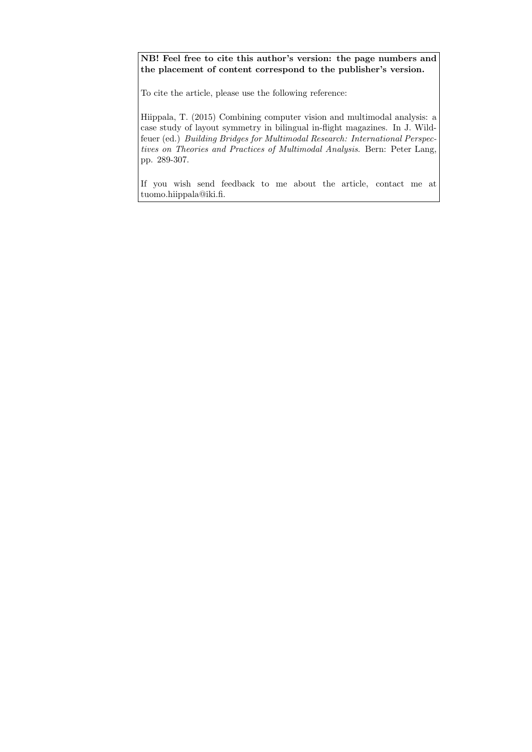NB! Feel free to cite this author's version: the page numbers and the placement of content correspond to the publisher's version.

To cite the article, please use the following reference:

Hiippala, T. (2015) Combining computer vision and multimodal analysis: a case study of layout symmetry in bilingual in-flight magazines. In J. Wildfeuer (ed.) Building Bridges for Multimodal Research: International Perspectives on Theories and Practices of Multimodal Analysis. Bern: Peter Lang, pp. 289-307.

If you wish send feedback to me about the article, contact me at tuomo.hiippala@iki.fi.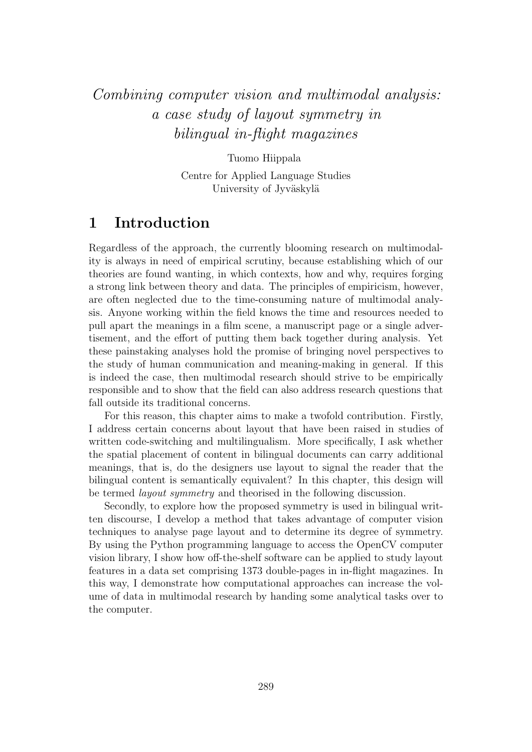# Combining computer vision and multimodal analysis: a case study of layout symmetry in bilingual in-flight magazines

Tuomo Hiippala

Centre for Applied Language Studies University of Jyväskylä

### 1 Introduction

Regardless of the approach, the currently blooming research on multimodality is always in need of empirical scrutiny, because establishing which of our theories are found wanting, in which contexts, how and why, requires forging a strong link between theory and data. The principles of empiricism, however, are often neglected due to the time-consuming nature of multimodal analysis. Anyone working within the field knows the time and resources needed to pull apart the meanings in a film scene, a manuscript page or a single advertisement, and the effort of putting them back together during analysis. Yet these painstaking analyses hold the promise of bringing novel perspectives to the study of human communication and meaning-making in general. If this is indeed the case, then multimodal research should strive to be empirically responsible and to show that the field can also address research questions that fall outside its traditional concerns.

For this reason, this chapter aims to make a twofold contribution. Firstly, I address certain concerns about layout that have been raised in studies of written code-switching and multilingualism. More specifically, I ask whether the spatial placement of content in bilingual documents can carry additional meanings, that is, do the designers use layout to signal the reader that the bilingual content is semantically equivalent? In this chapter, this design will be termed *layout symmetry* and theorised in the following discussion.

Secondly, to explore how the proposed symmetry is used in bilingual written discourse, I develop a method that takes advantage of computer vision techniques to analyse page layout and to determine its degree of symmetry. By using the Python programming language to access the OpenCV computer vision library, I show how off-the-shelf software can be applied to study layout features in a data set comprising 1373 double-pages in in-flight magazines. In this way, I demonstrate how computational approaches can increase the volume of data in multimodal research by handing some analytical tasks over to the computer.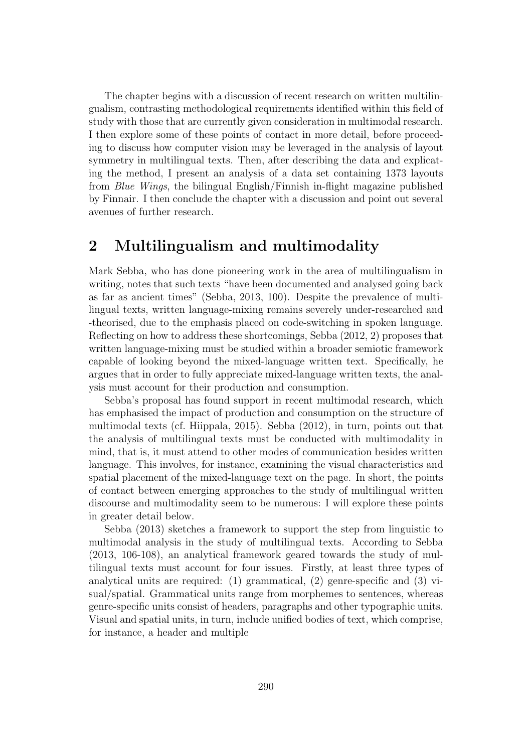The chapter begins with a discussion of recent research on written multilingualism, contrasting methodological requirements identified within this field of study with those that are currently given consideration in multimodal research. I then explore some of these points of contact in more detail, before proceeding to discuss how computer vision may be leveraged in the analysis of layout symmetry in multilingual texts. Then, after describing the data and explicating the method, I present an analysis of a data set containing 1373 layouts from Blue Wings, the bilingual English/Finnish in-flight magazine published by Finnair. I then conclude the chapter with a discussion and point out several avenues of further research.

# 2 Multilingualism and multimodality

Mark Sebba, who has done pioneering work in the area of multilingualism in writing, notes that such texts "have been documented and analysed going back as far as ancient times" (Sebba, 2013, 100). Despite the prevalence of multilingual texts, written language-mixing remains severely under-researched and -theorised, due to the emphasis placed on code-switching in spoken language. Reflecting on how to address these shortcomings, Sebba (2012, 2) proposes that written language-mixing must be studied within a broader semiotic framework capable of looking beyond the mixed-language written text. Specifically, he argues that in order to fully appreciate mixed-language written texts, the analysis must account for their production and consumption.

Sebba's proposal has found support in recent multimodal research, which has emphasised the impact of production and consumption on the structure of multimodal texts (cf. Hiippala, 2015). Sebba (2012), in turn, points out that the analysis of multilingual texts must be conducted with multimodality in mind, that is, it must attend to other modes of communication besides written language. This involves, for instance, examining the visual characteristics and spatial placement of the mixed-language text on the page. In short, the points of contact between emerging approaches to the study of multilingual written discourse and multimodality seem to be numerous: I will explore these points in greater detail below.

Sebba (2013) sketches a framework to support the step from linguistic to multimodal analysis in the study of multilingual texts. According to Sebba (2013, 106-108), an analytical framework geared towards the study of multilingual texts must account for four issues. Firstly, at least three types of analytical units are required: (1) grammatical, (2) genre-specific and (3) visual/spatial. Grammatical units range from morphemes to sentences, whereas genre-specific units consist of headers, paragraphs and other typographic units. Visual and spatial units, in turn, include unified bodies of text, which comprise, for instance, a header and multiple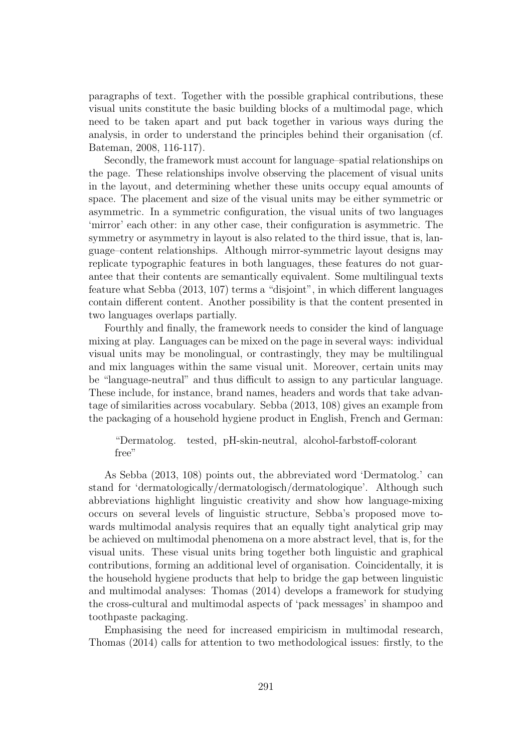paragraphs of text. Together with the possible graphical contributions, these visual units constitute the basic building blocks of a multimodal page, which need to be taken apart and put back together in various ways during the analysis, in order to understand the principles behind their organisation (cf. Bateman, 2008, 116-117).

Secondly, the framework must account for language–spatial relationships on the page. These relationships involve observing the placement of visual units in the layout, and determining whether these units occupy equal amounts of space. The placement and size of the visual units may be either symmetric or asymmetric. In a symmetric configuration, the visual units of two languages 'mirror' each other: in any other case, their configuration is asymmetric. The symmetry or asymmetry in layout is also related to the third issue, that is, language–content relationships. Although mirror-symmetric layout designs may replicate typographic features in both languages, these features do not guarantee that their contents are semantically equivalent. Some multilingual texts feature what Sebba (2013, 107) terms a "disjoint", in which different languages contain different content. Another possibility is that the content presented in two languages overlaps partially.

Fourthly and finally, the framework needs to consider the kind of language mixing at play. Languages can be mixed on the page in several ways: individual visual units may be monolingual, or contrastingly, they may be multilingual and mix languages within the same visual unit. Moreover, certain units may be "language-neutral" and thus difficult to assign to any particular language. These include, for instance, brand names, headers and words that take advantage of similarities across vocabulary. Sebba (2013, 108) gives an example from the packaging of a household hygiene product in English, French and German:

#### "Dermatolog. tested, pH-skin-neutral, alcohol-farbstoff-colorant free"

As Sebba (2013, 108) points out, the abbreviated word 'Dermatolog.' can stand for 'dermatologically/dermatologisch/dermatologique'. Although such abbreviations highlight linguistic creativity and show how language-mixing occurs on several levels of linguistic structure, Sebba's proposed move towards multimodal analysis requires that an equally tight analytical grip may be achieved on multimodal phenomena on a more abstract level, that is, for the visual units. These visual units bring together both linguistic and graphical contributions, forming an additional level of organisation. Coincidentally, it is the household hygiene products that help to bridge the gap between linguistic and multimodal analyses: Thomas (2014) develops a framework for studying the cross-cultural and multimodal aspects of 'pack messages' in shampoo and toothpaste packaging.

Emphasising the need for increased empiricism in multimodal research, Thomas (2014) calls for attention to two methodological issues: firstly, to the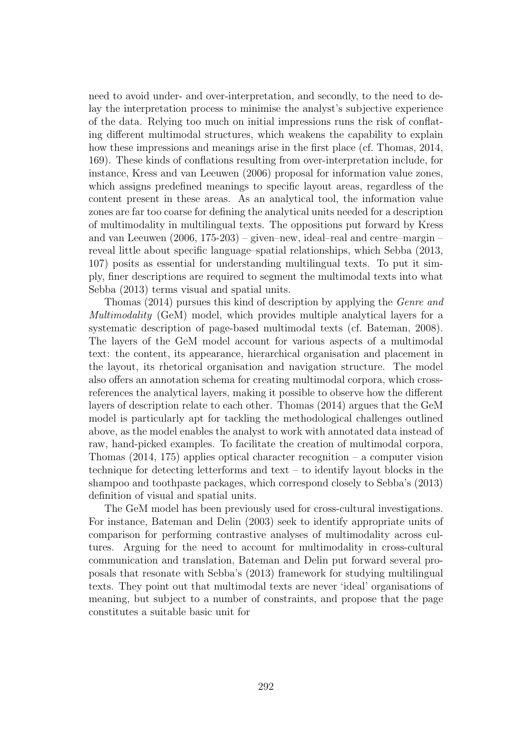need to avoid under- and over-interpretation, and secondly, to the need to delay the interpretation process to minimise the analyst's subjective experience of the data. Relying too much on initial impressions runs the risk of conflating different multimodal structures, which weakens the capability to explain how these impressions and meanings arise in the first place (cf. Thomas, 2014, 169). These kinds of conflations resulting from over-interpretation include, for instance, Kress and van Leeuwen (2006) proposal for information value zones, which assigns predefined meanings to specific layout areas, regardless of the content present in these areas. As an analytical tool, the information value zones are far too coarse for defining the analytical units needed for a description of multimodality in multilingual texts. The oppositions put forward by Kress and van Leeuwen (2006, 175-203) – given–new, ideal–real and centre–margin – reveal little about specific language–spatial relationships, which Sebba (2013, 107) posits as essential for understanding multilingual texts. To put it simply, finer descriptions are required to segment the multimodal texts into what Sebba (2013) terms visual and spatial units.

Thomas (2014) pursues this kind of description by applying the Genre and Multimodality (GeM) model, which provides multiple analytical layers for a systematic description of page-based multimodal texts (cf. Bateman, 2008). The layers of the GeM model account for various aspects of a multimodal text: the content, its appearance, hierarchical organisation and placement in the layout, its rhetorical organisation and navigation structure. The model also offers an annotation schema for creating multimodal corpora, which crossreferences the analytical layers, making it possible to observe how the different layers of description relate to each other. Thomas (2014) argues that the GeM model is particularly apt for tackling the methodological challenges outlined above, as the model enables the analyst to work with annotated data instead of raw, hand-picked examples. To facilitate the creation of multimodal corpora, Thomas  $(2014, 175)$  applies optical character recognition – a computer vision technique for detecting letterforms and text – to identify layout blocks in the shampoo and toothpaste packages, which correspond closely to Sebba's (2013) definition of visual and spatial units.

The GeM model has been previously used for cross-cultural investigations. For instance, Bateman and Delin (2003) seek to identify appropriate units of comparison for performing contrastive analyses of multimodality across cultures. Arguing for the need to account for multimodality in cross-cultural communication and translation, Bateman and Delin put forward several proposals that resonate with Sebba's (2013) framework for studying multilingual texts. They point out that multimodal texts are never 'ideal' organisations of meaning, but subject to a number of constraints, and propose that the page constitutes a suitable basic unit for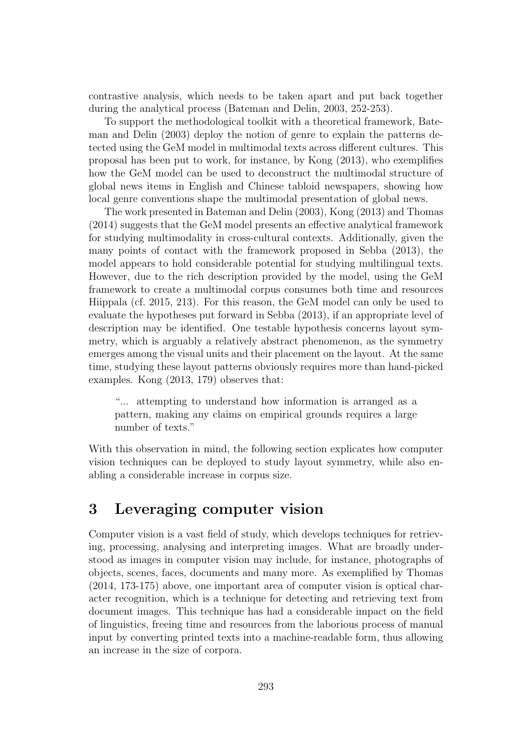contrastive analysis, which needs to be taken apart and put back together during the analytical process (Bateman and Delin, 2003, 252-253).

To support the methodological toolkit with a theoretical framework, Bateman and Delin (2003) deploy the notion of genre to explain the patterns detected using the GeM model in multimodal texts across different cultures. This proposal has been put to work, for instance, by Kong (2013), who exemplifies how the GeM model can be used to deconstruct the multimodal structure of global news items in English and Chinese tabloid newspapers, showing how local genre conventions shape the multimodal presentation of global news.

The work presented in Bateman and Delin (2003), Kong (2013) and Thomas (2014) suggests that the GeM model presents an effective analytical framework for studying multimodality in cross-cultural contexts. Additionally, given the many points of contact with the framework proposed in Sebba (2013), the model appears to hold considerable potential for studying multilingual texts. However, due to the rich description provided by the model, using the GeM framework to create a multimodal corpus consumes both time and resources Hiippala (cf. 2015, 213). For this reason, the GeM model can only be used to evaluate the hypotheses put forward in Sebba (2013), if an appropriate level of description may be identified. One testable hypothesis concerns layout symmetry, which is arguably a relatively abstract phenomenon, as the symmetry emerges among the visual units and their placement on the layout. At the same time, studying these layout patterns obviously requires more than hand-picked examples. Kong (2013, 179) observes that:

"... attempting to understand how information is arranged as a pattern, making any claims on empirical grounds requires a large number of texts."

With this observation in mind, the following section explicates how computer vision techniques can be deployed to study layout symmetry, while also enabling a considerable increase in corpus size.

# 3 Leveraging computer vision

Computer vision is a vast field of study, which develops techniques for retrieving, processing, analysing and interpreting images. What are broadly understood as images in computer vision may include, for instance, photographs of objects, scenes, faces, documents and many more. As exemplified by Thomas (2014, 173-175) above, one important area of computer vision is optical character recognition, which is a technique for detecting and retrieving text from document images. This technique has had a considerable impact on the field of linguistics, freeing time and resources from the laborious process of manual input by converting printed texts into a machine-readable form, thus allowing an increase in the size of corpora.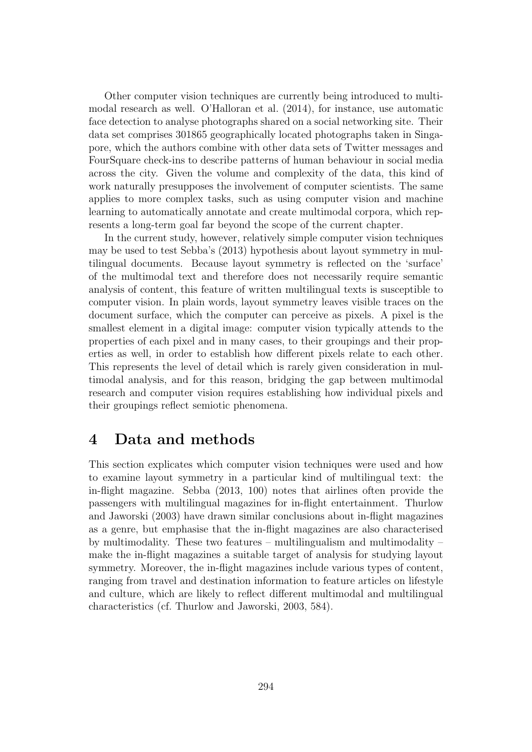Other computer vision techniques are currently being introduced to multimodal research as well. O'Halloran et al. (2014), for instance, use automatic face detection to analyse photographs shared on a social networking site. Their data set comprises 301865 geographically located photographs taken in Singapore, which the authors combine with other data sets of Twitter messages and FourSquare check-ins to describe patterns of human behaviour in social media across the city. Given the volume and complexity of the data, this kind of work naturally presupposes the involvement of computer scientists. The same applies to more complex tasks, such as using computer vision and machine learning to automatically annotate and create multimodal corpora, which represents a long-term goal far beyond the scope of the current chapter.

In the current study, however, relatively simple computer vision techniques may be used to test Sebba's (2013) hypothesis about layout symmetry in multilingual documents. Because layout symmetry is reflected on the 'surface' of the multimodal text and therefore does not necessarily require semantic analysis of content, this feature of written multilingual texts is susceptible to computer vision. In plain words, layout symmetry leaves visible traces on the document surface, which the computer can perceive as pixels. A pixel is the smallest element in a digital image: computer vision typically attends to the properties of each pixel and in many cases, to their groupings and their properties as well, in order to establish how different pixels relate to each other. This represents the level of detail which is rarely given consideration in multimodal analysis, and for this reason, bridging the gap between multimodal research and computer vision requires establishing how individual pixels and their groupings reflect semiotic phenomena.

#### 4 Data and methods

This section explicates which computer vision techniques were used and how to examine layout symmetry in a particular kind of multilingual text: the in-flight magazine. Sebba (2013, 100) notes that airlines often provide the passengers with multilingual magazines for in-flight entertainment. Thurlow and Jaworski (2003) have drawn similar conclusions about in-flight magazines as a genre, but emphasise that the in-flight magazines are also characterised by multimodality. These two features – multilingualism and multimodality – make the in-flight magazines a suitable target of analysis for studying layout symmetry. Moreover, the in-flight magazines include various types of content, ranging from travel and destination information to feature articles on lifestyle and culture, which are likely to reflect different multimodal and multilingual characteristics (cf. Thurlow and Jaworski, 2003, 584).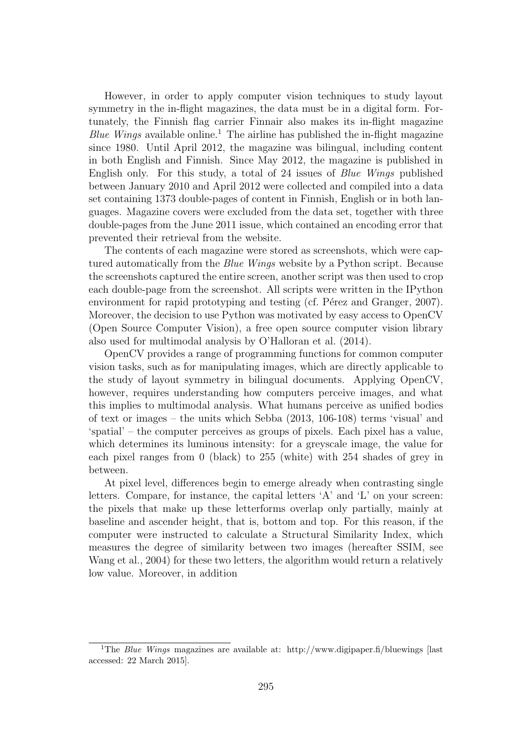However, in order to apply computer vision techniques to study layout symmetry in the in-flight magazines, the data must be in a digital form. Fortunately, the Finnish flag carrier Finnair also makes its in-flight magazine Blue Wings available online.<sup>1</sup> The airline has published the in-flight magazine since 1980. Until April 2012, the magazine was bilingual, including content in both English and Finnish. Since May 2012, the magazine is published in English only. For this study, a total of 24 issues of Blue Wings published between January 2010 and April 2012 were collected and compiled into a data set containing 1373 double-pages of content in Finnish, English or in both languages. Magazine covers were excluded from the data set, together with three double-pages from the June 2011 issue, which contained an encoding error that prevented their retrieval from the website.

The contents of each magazine were stored as screenshots, which were captured automatically from the Blue Wings website by a Python script. Because the screenshots captured the entire screen, another script was then used to crop each double-page from the screenshot. All scripts were written in the IPython environment for rapid prototyping and testing (cf. Pérez and Granger, 2007). Moreover, the decision to use Python was motivated by easy access to OpenCV (Open Source Computer Vision), a free open source computer vision library also used for multimodal analysis by O'Halloran et al. (2014).

OpenCV provides a range of programming functions for common computer vision tasks, such as for manipulating images, which are directly applicable to the study of layout symmetry in bilingual documents. Applying OpenCV, however, requires understanding how computers perceive images, and what this implies to multimodal analysis. What humans perceive as unified bodies of text or images – the units which Sebba (2013, 106-108) terms 'visual' and 'spatial' – the computer perceives as groups of pixels. Each pixel has a value, which determines its luminous intensity: for a greyscale image, the value for each pixel ranges from 0 (black) to 255 (white) with 254 shades of grey in between.

At pixel level, differences begin to emerge already when contrasting single letters. Compare, for instance, the capital letters 'A' and 'L' on your screen: the pixels that make up these letterforms overlap only partially, mainly at baseline and ascender height, that is, bottom and top. For this reason, if the computer were instructed to calculate a Structural Similarity Index, which measures the degree of similarity between two images (hereafter SSIM, see Wang et al., 2004) for these two letters, the algorithm would return a relatively low value. Moreover, in addition

<sup>&</sup>lt;sup>1</sup>The *Blue Wings* magazines are available at: http://www.digipaper.fi/bluewings [last] accessed: 22 March 2015].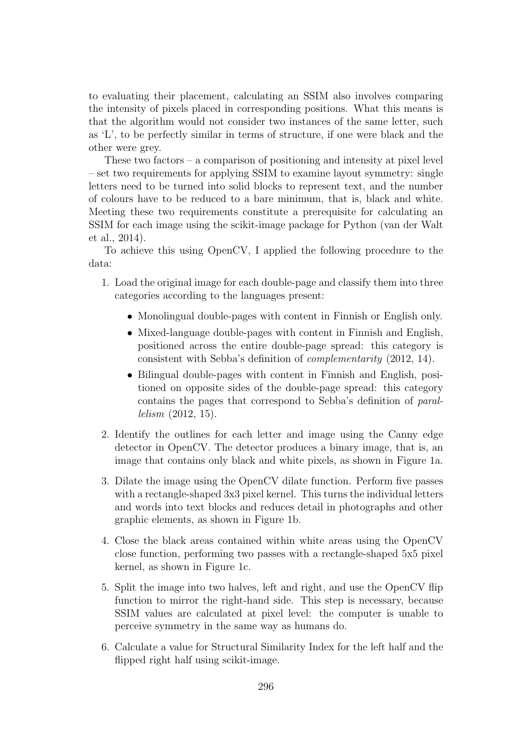to evaluating their placement, calculating an SSIM also involves comparing the intensity of pixels placed in corresponding positions. What this means is that the algorithm would not consider two instances of the same letter, such as 'L', to be perfectly similar in terms of structure, if one were black and the other were grey.

These two factors  $-$  a comparison of positioning and intensity at pixel level – set two requirements for applying SSIM to examine layout symmetry: single letters need to be turned into solid blocks to represent text, and the number of colours have to be reduced to a bare minimum, that is, black and white. Meeting these two requirements constitute a prerequisite for calculating an SSIM for each image using the scikit-image package for Python (van der Walt et al., 2014).

To achieve this using OpenCV, I applied the following procedure to the data:

- 1. Load the original image for each double-page and classify them into three categories according to the languages present:
	- Monolingual double-pages with content in Finnish or English only.
	- Mixed-language double-pages with content in Finnish and English, positioned across the entire double-page spread: this category is consistent with Sebba's definition of complementarity (2012, 14).
	- Bilingual double-pages with content in Finnish and English, positioned on opposite sides of the double-page spread: this category contains the pages that correspond to Sebba's definition of parallelism (2012, 15).
- 2. Identify the outlines for each letter and image using the Canny edge detector in OpenCV. The detector produces a binary image, that is, an image that contains only black and white pixels, as shown in Figure 1a.
- 3. Dilate the image using the OpenCV dilate function. Perform five passes with a rectangle-shaped 3x3 pixel kernel. This turns the individual letters and words into text blocks and reduces detail in photographs and other graphic elements, as shown in Figure 1b.
- 4. Close the black areas contained within white areas using the OpenCV close function, performing two passes with a rectangle-shaped 5x5 pixel kernel, as shown in Figure 1c.
- 5. Split the image into two halves, left and right, and use the OpenCV flip function to mirror the right-hand side. This step is necessary, because SSIM values are calculated at pixel level: the computer is unable to perceive symmetry in the same way as humans do.
- 6. Calculate a value for Structural Similarity Index for the left half and the flipped right half using scikit-image.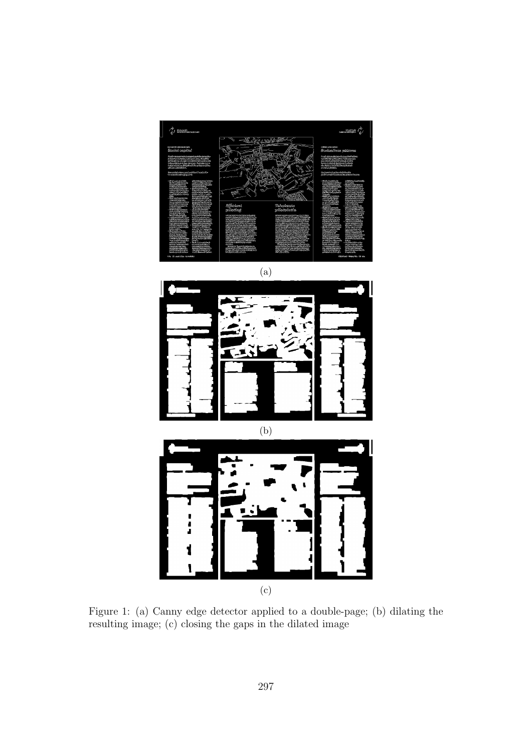

(a)



Figure 1: (a) Canny edge detector applied to a double-page; (b) dilating the resulting image; (c) closing the gaps in the dilated image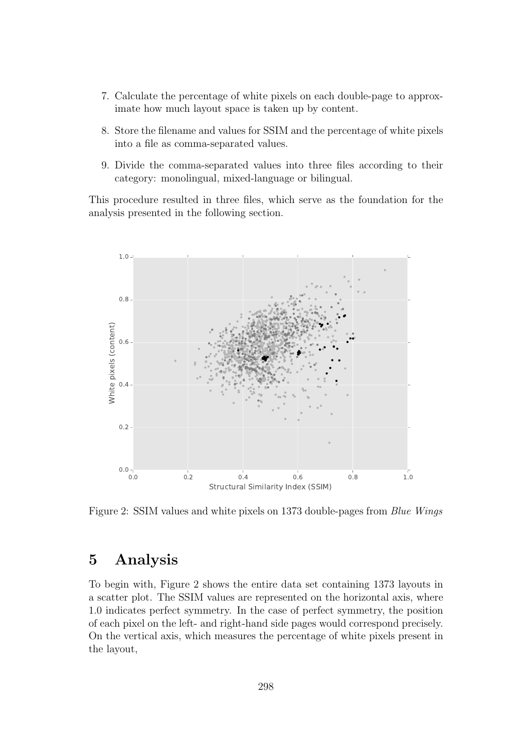- 7. Calculate the percentage of white pixels on each double-page to approximate how much layout space is taken up by content.
- 8. Store the filename and values for SSIM and the percentage of white pixels into a file as comma-separated values.
- 9. Divide the comma-separated values into three files according to their category: monolingual, mixed-language or bilingual.

This procedure resulted in three files, which serve as the foundation for the analysis presented in the following section.



Figure 2: SSIM values and white pixels on 1373 double-pages from Blue Wings

#### 5 Analysis

To begin with, Figure 2 shows the entire data set containing 1373 layouts in a scatter plot. The SSIM values are represented on the horizontal axis, where 1.0 indicates perfect symmetry. In the case of perfect symmetry, the position of each pixel on the left- and right-hand side pages would correspond precisely. On the vertical axis, which measures the percentage of white pixels present in the layout,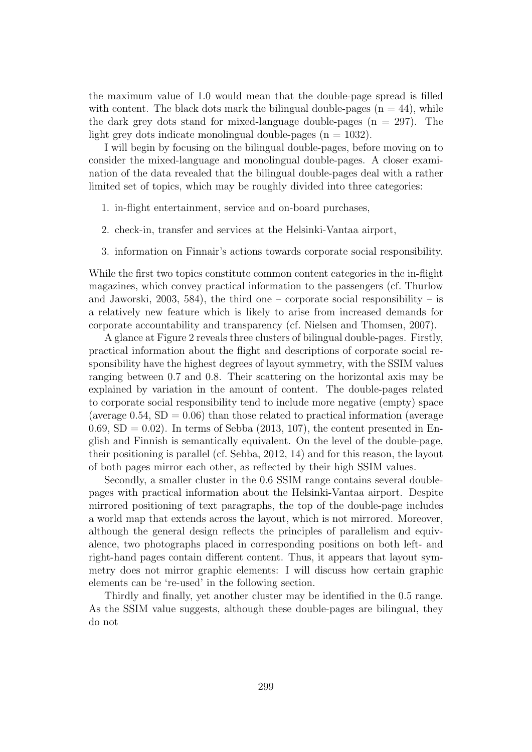the maximum value of 1.0 would mean that the double-page spread is filled with content. The black dots mark the bilingual double-pages  $(n = 44)$ , while the dark grey dots stand for mixed-language double-pages  $(n = 297)$ . The light grey dots indicate monolingual double-pages  $(n = 1032)$ .

I will begin by focusing on the bilingual double-pages, before moving on to consider the mixed-language and monolingual double-pages. A closer examination of the data revealed that the bilingual double-pages deal with a rather limited set of topics, which may be roughly divided into three categories:

- 1. in-flight entertainment, service and on-board purchases,
- 2. check-in, transfer and services at the Helsinki-Vantaa airport,
- 3. information on Finnair's actions towards corporate social responsibility.

While the first two topics constitute common content categories in the in-flight magazines, which convey practical information to the passengers (cf. Thurlow and Jaworski, 2003, 584), the third one – corporate social responsibility – is a relatively new feature which is likely to arise from increased demands for corporate accountability and transparency (cf. Nielsen and Thomsen, 2007).

A glance at Figure 2 reveals three clusters of bilingual double-pages. Firstly, practical information about the flight and descriptions of corporate social responsibility have the highest degrees of layout symmetry, with the SSIM values ranging between 0.7 and 0.8. Their scattering on the horizontal axis may be explained by variation in the amount of content. The double-pages related to corporate social responsibility tend to include more negative (empty) space (average  $0.54$ ,  $SD = 0.06$ ) than those related to practical information (average  $(0.69, SD = 0.02)$ . In terms of Sebba  $(2013, 107)$ , the content presented in English and Finnish is semantically equivalent. On the level of the double-page, their positioning is parallel (cf. Sebba, 2012, 14) and for this reason, the layout of both pages mirror each other, as reflected by their high SSIM values.

Secondly, a smaller cluster in the 0.6 SSIM range contains several doublepages with practical information about the Helsinki-Vantaa airport. Despite mirrored positioning of text paragraphs, the top of the double-page includes a world map that extends across the layout, which is not mirrored. Moreover, although the general design reflects the principles of parallelism and equivalence, two photographs placed in corresponding positions on both left- and right-hand pages contain different content. Thus, it appears that layout symmetry does not mirror graphic elements: I will discuss how certain graphic elements can be 're-used' in the following section.

Thirdly and finally, yet another cluster may be identified in the 0.5 range. As the SSIM value suggests, although these double-pages are bilingual, they do not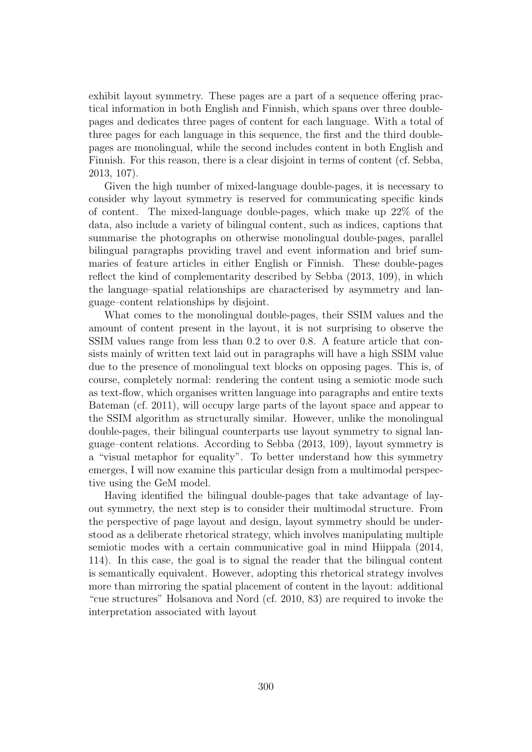exhibit layout symmetry. These pages are a part of a sequence offering practical information in both English and Finnish, which spans over three doublepages and dedicates three pages of content for each language. With a total of three pages for each language in this sequence, the first and the third doublepages are monolingual, while the second includes content in both English and Finnish. For this reason, there is a clear disjoint in terms of content (cf. Sebba, 2013, 107).

Given the high number of mixed-language double-pages, it is necessary to consider why layout symmetry is reserved for communicating specific kinds of content. The mixed-language double-pages, which make up 22% of the data, also include a variety of bilingual content, such as indices, captions that summarise the photographs on otherwise monolingual double-pages, parallel bilingual paragraphs providing travel and event information and brief summaries of feature articles in either English or Finnish. These double-pages reflect the kind of complementarity described by Sebba (2013, 109), in which the language–spatial relationships are characterised by asymmetry and language–content relationships by disjoint.

What comes to the monolingual double-pages, their SSIM values and the amount of content present in the layout, it is not surprising to observe the SSIM values range from less than 0.2 to over 0.8. A feature article that consists mainly of written text laid out in paragraphs will have a high SSIM value due to the presence of monolingual text blocks on opposing pages. This is, of course, completely normal: rendering the content using a semiotic mode such as text-flow, which organises written language into paragraphs and entire texts Bateman (cf. 2011), will occupy large parts of the layout space and appear to the SSIM algorithm as structurally similar. However, unlike the monolingual double-pages, their bilingual counterparts use layout symmetry to signal language–content relations. According to Sebba (2013, 109), layout symmetry is a "visual metaphor for equality". To better understand how this symmetry emerges, I will now examine this particular design from a multimodal perspective using the GeM model.

Having identified the bilingual double-pages that take advantage of layout symmetry, the next step is to consider their multimodal structure. From the perspective of page layout and design, layout symmetry should be understood as a deliberate rhetorical strategy, which involves manipulating multiple semiotic modes with a certain communicative goal in mind Hiippala (2014, 114). In this case, the goal is to signal the reader that the bilingual content is semantically equivalent. However, adopting this rhetorical strategy involves more than mirroring the spatial placement of content in the layout: additional "cue structures" Holsanova and Nord (cf. 2010, 83) are required to invoke the interpretation associated with layout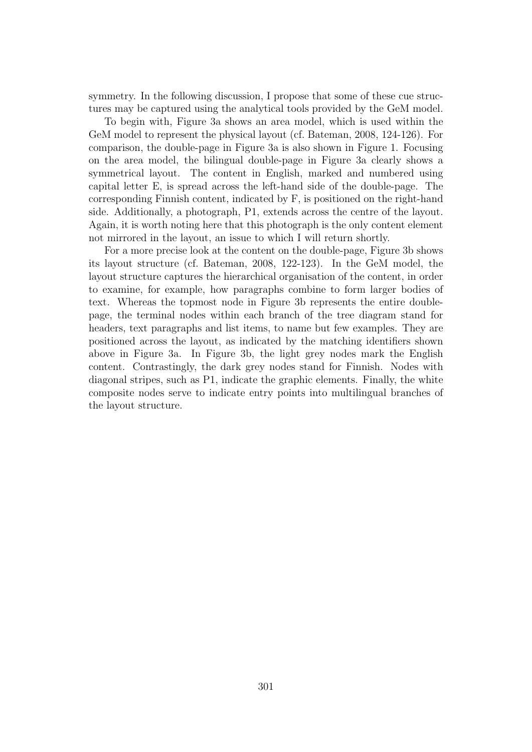symmetry. In the following discussion, I propose that some of these cue structures may be captured using the analytical tools provided by the GeM model.

To begin with, Figure 3a shows an area model, which is used within the GeM model to represent the physical layout (cf. Bateman, 2008, 124-126). For comparison, the double-page in Figure 3a is also shown in Figure 1. Focusing on the area model, the bilingual double-page in Figure 3a clearly shows a symmetrical layout. The content in English, marked and numbered using capital letter E, is spread across the left-hand side of the double-page. The corresponding Finnish content, indicated by F, is positioned on the right-hand side. Additionally, a photograph, P1, extends across the centre of the layout. Again, it is worth noting here that this photograph is the only content element not mirrored in the layout, an issue to which I will return shortly.

For a more precise look at the content on the double-page, Figure 3b shows its layout structure (cf. Bateman, 2008, 122-123). In the GeM model, the layout structure captures the hierarchical organisation of the content, in order to examine, for example, how paragraphs combine to form larger bodies of text. Whereas the topmost node in Figure 3b represents the entire doublepage, the terminal nodes within each branch of the tree diagram stand for headers, text paragraphs and list items, to name but few examples. They are positioned across the layout, as indicated by the matching identifiers shown above in Figure 3a. In Figure 3b, the light grey nodes mark the English content. Contrastingly, the dark grey nodes stand for Finnish. Nodes with diagonal stripes, such as P1, indicate the graphic elements. Finally, the white composite nodes serve to indicate entry points into multilingual branches of the layout structure.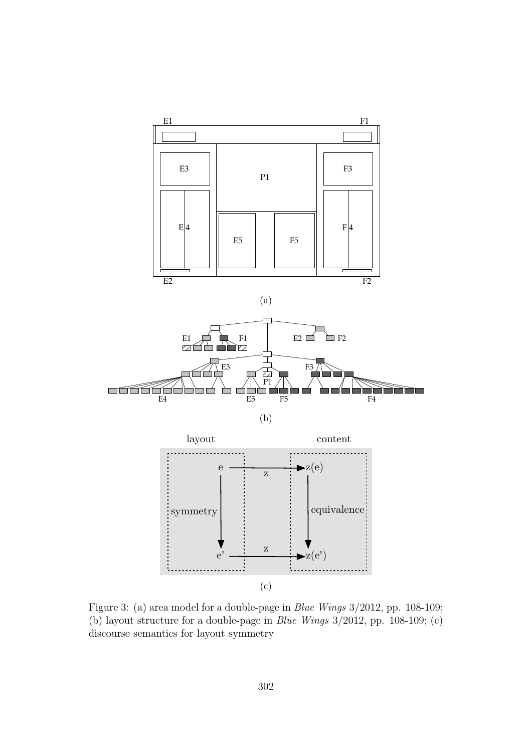

Figure 3: (a) area model for a double-page in Blue Wings 3/2012, pp. 108-109; (b) layout structure for a double-page in Blue Wings 3/2012, pp. 108-109; (c) discourse semantics for layout symmetry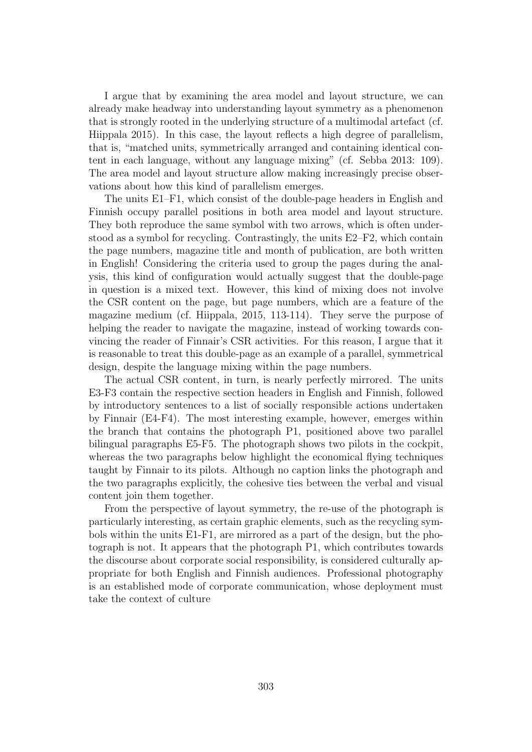I argue that by examining the area model and layout structure, we can already make headway into understanding layout symmetry as a phenomenon that is strongly rooted in the underlying structure of a multimodal artefact (cf. Hiippala 2015). In this case, the layout reflects a high degree of parallelism, that is, "matched units, symmetrically arranged and containing identical content in each language, without any language mixing" (cf. Sebba 2013: 109). The area model and layout structure allow making increasingly precise observations about how this kind of parallelism emerges.

The units E1–F1, which consist of the double-page headers in English and Finnish occupy parallel positions in both area model and layout structure. They both reproduce the same symbol with two arrows, which is often understood as a symbol for recycling. Contrastingly, the units E2–F2, which contain the page numbers, magazine title and month of publication, are both written in English! Considering the criteria used to group the pages during the analysis, this kind of configuration would actually suggest that the double-page in question is a mixed text. However, this kind of mixing does not involve the CSR content on the page, but page numbers, which are a feature of the magazine medium (cf. Hiippala, 2015, 113-114). They serve the purpose of helping the reader to navigate the magazine, instead of working towards convincing the reader of Finnair's CSR activities. For this reason, I argue that it is reasonable to treat this double-page as an example of a parallel, symmetrical design, despite the language mixing within the page numbers.

The actual CSR content, in turn, is nearly perfectly mirrored. The units E3-F3 contain the respective section headers in English and Finnish, followed by introductory sentences to a list of socially responsible actions undertaken by Finnair (E4-F4). The most interesting example, however, emerges within the branch that contains the photograph P1, positioned above two parallel bilingual paragraphs E5-F5. The photograph shows two pilots in the cockpit, whereas the two paragraphs below highlight the economical flying techniques taught by Finnair to its pilots. Although no caption links the photograph and the two paragraphs explicitly, the cohesive ties between the verbal and visual content join them together.

From the perspective of layout symmetry, the re-use of the photograph is particularly interesting, as certain graphic elements, such as the recycling symbols within the units E1-F1, are mirrored as a part of the design, but the photograph is not. It appears that the photograph P1, which contributes towards the discourse about corporate social responsibility, is considered culturally appropriate for both English and Finnish audiences. Professional photography is an established mode of corporate communication, whose deployment must take the context of culture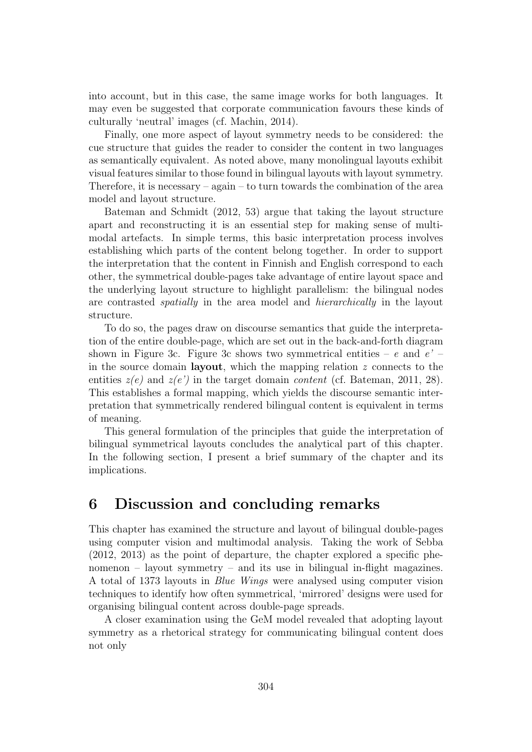into account, but in this case, the same image works for both languages. It may even be suggested that corporate communication favours these kinds of culturally 'neutral' images (cf. Machin, 2014).

Finally, one more aspect of layout symmetry needs to be considered: the cue structure that guides the reader to consider the content in two languages as semantically equivalent. As noted above, many monolingual layouts exhibit visual features similar to those found in bilingual layouts with layout symmetry. Therefore, it is necessary – again – to turn towards the combination of the area model and layout structure.

Bateman and Schmidt (2012, 53) argue that taking the layout structure apart and reconstructing it is an essential step for making sense of multimodal artefacts. In simple terms, this basic interpretation process involves establishing which parts of the content belong together. In order to support the interpretation that the content in Finnish and English correspond to each other, the symmetrical double-pages take advantage of entire layout space and the underlying layout structure to highlight parallelism: the bilingual nodes are contrasted spatially in the area model and hierarchically in the layout structure.

To do so, the pages draw on discourse semantics that guide the interpretation of the entire double-page, which are set out in the back-and-forth diagram shown in Figure 3c. Figure 3c shows two symmetrical entities – e and  $e'$  – in the source domain **layout**, which the mapping relation  $z$  connects to the entities  $z(e)$  and  $z(e')$  in the target domain *content* (cf. Bateman, 2011, 28). This establishes a formal mapping, which yields the discourse semantic interpretation that symmetrically rendered bilingual content is equivalent in terms of meaning.

This general formulation of the principles that guide the interpretation of bilingual symmetrical layouts concludes the analytical part of this chapter. In the following section, I present a brief summary of the chapter and its implications.

#### 6 Discussion and concluding remarks

This chapter has examined the structure and layout of bilingual double-pages using computer vision and multimodal analysis. Taking the work of Sebba (2012, 2013) as the point of departure, the chapter explored a specific phenomenon – layout symmetry – and its use in bilingual in-flight magazines. A total of 1373 layouts in Blue Wings were analysed using computer vision techniques to identify how often symmetrical, 'mirrored' designs were used for organising bilingual content across double-page spreads.

A closer examination using the GeM model revealed that adopting layout symmetry as a rhetorical strategy for communicating bilingual content does not only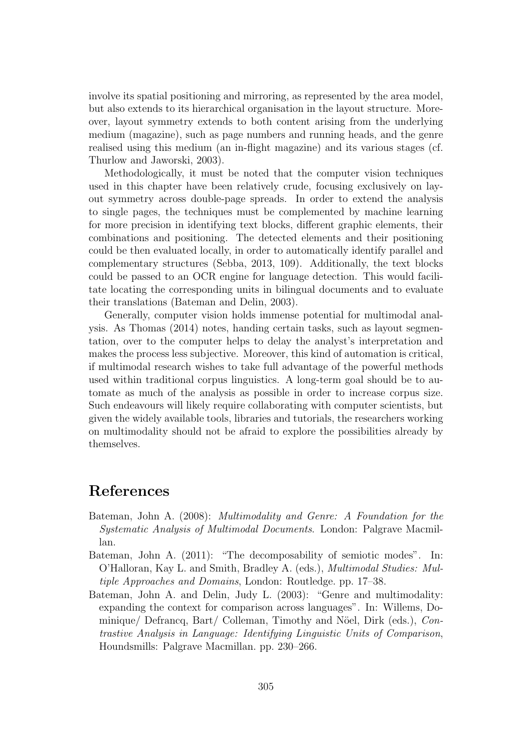involve its spatial positioning and mirroring, as represented by the area model, but also extends to its hierarchical organisation in the layout structure. Moreover, layout symmetry extends to both content arising from the underlying medium (magazine), such as page numbers and running heads, and the genre realised using this medium (an in-flight magazine) and its various stages (cf. Thurlow and Jaworski, 2003).

Methodologically, it must be noted that the computer vision techniques used in this chapter have been relatively crude, focusing exclusively on layout symmetry across double-page spreads. In order to extend the analysis to single pages, the techniques must be complemented by machine learning for more precision in identifying text blocks, different graphic elements, their combinations and positioning. The detected elements and their positioning could be then evaluated locally, in order to automatically identify parallel and complementary structures (Sebba, 2013, 109). Additionally, the text blocks could be passed to an OCR engine for language detection. This would facilitate locating the corresponding units in bilingual documents and to evaluate their translations (Bateman and Delin, 2003).

Generally, computer vision holds immense potential for multimodal analysis. As Thomas (2014) notes, handing certain tasks, such as layout segmentation, over to the computer helps to delay the analyst's interpretation and makes the process less subjective. Moreover, this kind of automation is critical, if multimodal research wishes to take full advantage of the powerful methods used within traditional corpus linguistics. A long-term goal should be to automate as much of the analysis as possible in order to increase corpus size. Such endeavours will likely require collaborating with computer scientists, but given the widely available tools, libraries and tutorials, the researchers working on multimodality should not be afraid to explore the possibilities already by themselves.

## References

- Bateman, John A. (2008): Multimodality and Genre: A Foundation for the Systematic Analysis of Multimodal Documents. London: Palgrave Macmillan.
- Bateman, John A. (2011): "The decomposability of semiotic modes". In: O'Halloran, Kay L. and Smith, Bradley A. (eds.), Multimodal Studies: Multiple Approaches and Domains, London: Routledge. pp. 17–38.
- Bateman, John A. and Delin, Judy L. (2003): "Genre and multimodality: expanding the context for comparison across languages". In: Willems, Dominique/ Defrancq, Bart/ Colleman, Timothy and Nöel, Dirk (eds.), Contrastive Analysis in Language: Identifying Linguistic Units of Comparison, Houndsmills: Palgrave Macmillan. pp. 230–266.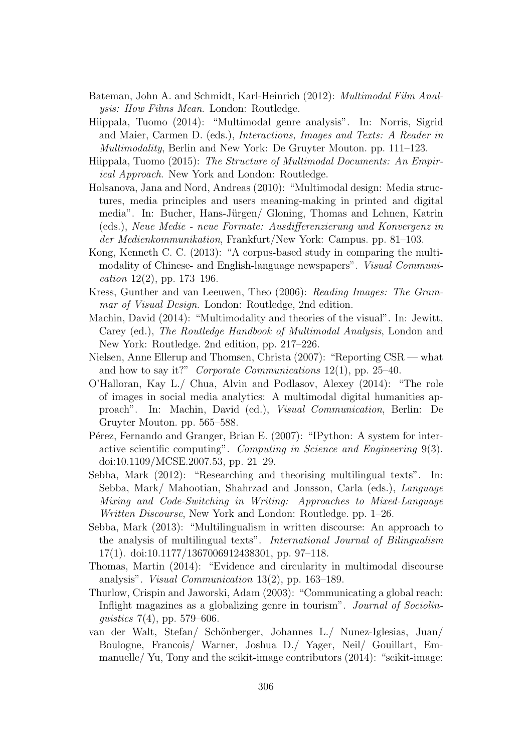- Bateman, John A. and Schmidt, Karl-Heinrich (2012): Multimodal Film Analysis: How Films Mean. London: Routledge.
- Hiippala, Tuomo (2014): "Multimodal genre analysis". In: Norris, Sigrid and Maier, Carmen D. (eds.), Interactions, Images and Texts: A Reader in Multimodality, Berlin and New York: De Gruyter Mouton. pp. 111–123.
- Hiippala, Tuomo (2015): The Structure of Multimodal Documents: An Empirical Approach. New York and London: Routledge.
- Holsanova, Jana and Nord, Andreas (2010): "Multimodal design: Media structures, media principles and users meaning-making in printed and digital media". In: Bucher, Hans-Jürgen/ Gloning, Thomas and Lehnen, Katrin (eds.), Neue Medie - neue Formate: Ausdifferenzierung und Konvergenz in der Medienkommunikation, Frankfurt/New York: Campus. pp. 81–103.
- Kong, Kenneth C. C. (2013): "A corpus-based study in comparing the multimodality of Chinese- and English-language newspapers". Visual Communication  $12(2)$ , pp. 173–196.
- Kress, Gunther and van Leeuwen, Theo (2006): Reading Images: The Grammar of Visual Design. London: Routledge, 2nd edition.
- Machin, David (2014): "Multimodality and theories of the visual". In: Jewitt, Carey (ed.), The Routledge Handbook of Multimodal Analysis, London and New York: Routledge. 2nd edition, pp. 217–226.
- Nielsen, Anne Ellerup and Thomsen, Christa (2007): "Reporting CSR what and how to say it?" Corporate Communications  $12(1)$ , pp. 25–40.
- O'Halloran, Kay L./ Chua, Alvin and Podlasov, Alexey (2014): "The role of images in social media analytics: A multimodal digital humanities approach". In: Machin, David (ed.), Visual Communication, Berlin: De Gruyter Mouton. pp. 565–588.
- Pérez, Fernando and Granger, Brian E. (2007): "IPython: A system for interactive scientific computing". Computing in Science and Engineering 9(3). doi:10.1109/MCSE.2007.53, pp. 21–29.
- Sebba, Mark (2012): "Researching and theorising multilingual texts". In: Sebba, Mark/ Mahootian, Shahrzad and Jonsson, Carla (eds.), Language Mixing and Code-Switching in Writing: Approaches to Mixed-Language Written Discourse, New York and London: Routledge. pp. 1–26.
- Sebba, Mark (2013): "Multilingualism in written discourse: An approach to the analysis of multilingual texts". International Journal of Bilingualism 17(1). doi:10.1177/1367006912438301, pp. 97–118.
- Thomas, Martin (2014): "Evidence and circularity in multimodal discourse analysis". Visual Communication 13(2), pp. 163–189.
- Thurlow, Crispin and Jaworski, Adam (2003): "Communicating a global reach: Inflight magazines as a globalizing genre in tourism". Journal of Sociolinguistics 7(4), pp. 579–606.
- van der Walt, Stefan/ Schönberger, Johannes L./ Nunez-Iglesias, Juan/ Boulogne, Francois/ Warner, Joshua D./ Yager, Neil/ Gouillart, Emmanuelle/ Yu, Tony and the scikit-image contributors (2014): "scikit-image: